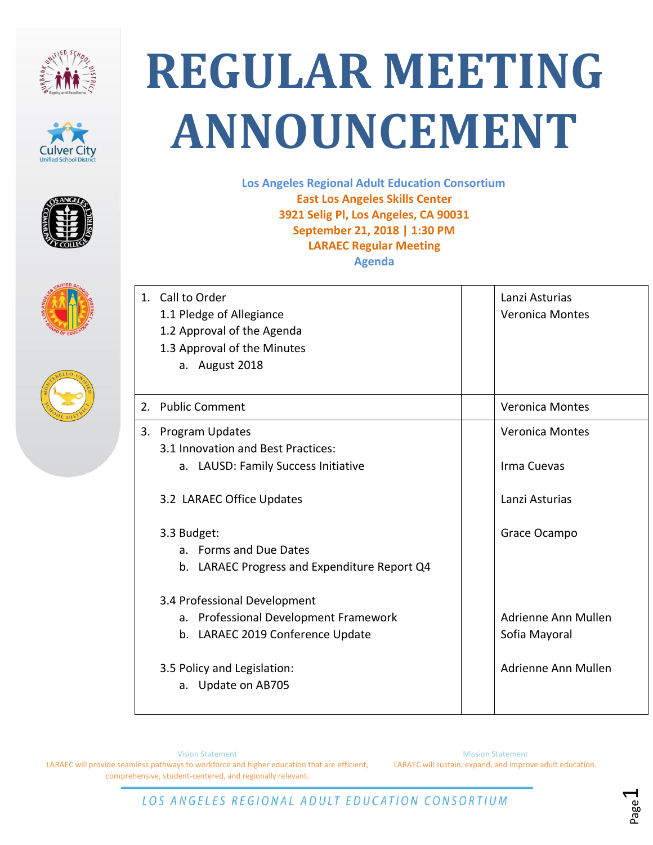









## **REGULAR MEETING ANNOUNCEMENT**

**Los Angeles Regional Adult Education Consortium East Los Angeles Skills Center 3921 Selig Pl, Los Angeles, CA 90031 September 21, 2018 | 1:30 PM LARAEC Regular Meeting Agenda**

| 1. Call to Order<br>1.1 Pledge of Allegiance<br>1.2 Approval of the Agenda<br>1.3 Approval of the Minutes<br>a. August 2018 | Lanzi Asturias<br><b>Veronica Montes</b> |
|-----------------------------------------------------------------------------------------------------------------------------|------------------------------------------|
| 2. Public Comment                                                                                                           | <b>Veronica Montes</b>                   |
| 3. Program Updates<br>3.1 Innovation and Best Practices:<br>a. LAUSD: Family Success Initiative                             | <b>Veronica Montes</b><br>Irma Cuevas    |
| 3.2 LARAEC Office Updates                                                                                                   | Lanzi Asturias                           |
| 3.3 Budget:<br>a. Forms and Due Dates<br>LARAEC Progress and Expenditure Report Q4<br>b.                                    | Grace Ocampo                             |
| 3.4 Professional Development<br>a. Professional Development Framework<br>b. LARAEC 2019 Conference Update                   | Adrienne Ann Mullen<br>Sofia Mayoral     |
| 3.5 Policy and Legislation:<br>a. Update on AB705                                                                           | Adrienne Ann Mullen                      |

Vision Statement LARAEC will provide seamless pathways to workforce and higher education that are efficient, comprehensive, student-centered, and regionally relevant.

Mission Statement LARAEC will sustain, expand, and improve adult education.